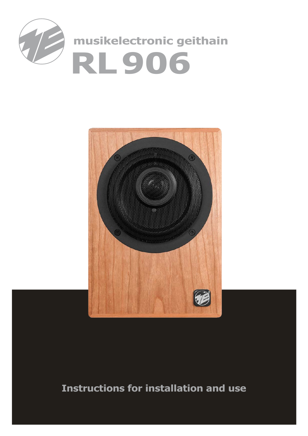

# **musikelectronic geithain RL906**



## **Instructions for installation and use**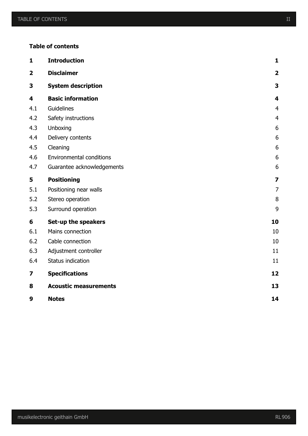#### **Table of contents**

| $\mathbf{1}$            | <b>Introduction</b>             | $\mathbf{1}$            |
|-------------------------|---------------------------------|-------------------------|
| $\overline{\mathbf{2}}$ | <b>Disclaimer</b>               | $\overline{\mathbf{2}}$ |
| 3                       | <b>System description</b>       | 3                       |
| 4                       | <b>Basic information</b>        | $\overline{\mathbf{4}}$ |
| 4.1                     | Guidelines                      | $\overline{4}$          |
| 4.2                     | Safety instructions             | $\overline{4}$          |
| 4.3                     | Unboxing                        | 6                       |
| 4.4                     | Delivery contents               | 6                       |
| 4.5                     | Cleaning                        | 6                       |
| 4.6                     | <b>Environmental conditions</b> | 6                       |
| 4.7                     | Guarantee acknowledgements      | 6                       |
| 5                       | <b>Positioning</b>              | $\overline{\mathbf{z}}$ |
| 5.1                     | Positioning near walls          | $\overline{7}$          |
| 5.2                     | Stereo operation                | $\, 8$                  |
| 5.3                     | Surround operation              | 9                       |
| 6                       | Set-up the speakers             | 10                      |
| 6.1                     | Mains connection                | 10                      |
| 6.2                     | Cable connection                | 10                      |
| 6.3                     | Adjustment controller           | 11                      |
| 6.4                     | Status indication               | 11                      |
| 7                       | <b>Specifications</b>           | 12                      |
| 8                       | <b>Acoustic measurements</b>    | 13                      |
| 9                       | <b>Notes</b>                    | 14                      |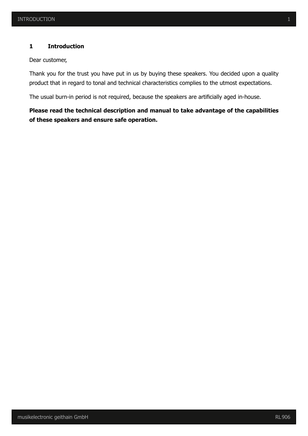#### **1 Introduction**

Dear customer,

Thank you for the trust you have put in us by buying these speakers. You decided upon a quality product that in regard to tonal and technical characteristics complies to the utmost expectations.

The usual burn-in period is not required, because the speakers are artificially aged in-house.

## **Please read the technical description and manual to take advantage of the capabilities of these speakers and ensure safe operation.**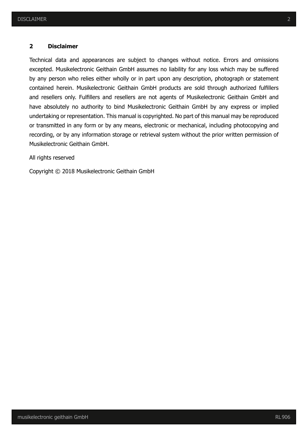#### **2 Disclaimer**

Technical data and appearances are subject to changes without notice. Errors and omissions excepted. Musikelectronic Geithain GmbH assumes no liability for any loss which may be suffered by any person who relies either wholly or in part upon any description, photograph or statement contained herein. Musikelectronic Geithain GmbH products are sold through authorized fulfillers and resellers only. Fulfillers and resellers are not agents of Musikelectronic Geithain GmbH and have absolutely no authority to bind Musikelectronic Geithain GmbH by any express or implied undertaking or representation. This manual is copyrighted. No part of this manual may be reproduced or transmitted in any form or by any means, electronic or mechanical, including photocopying and recording, or by any information storage or retrieval system without the prior written permission of Musikelectronic Geithain GmbH.

All rights reserved

Copyright © 2018 Musikelectronic Geithain GmbH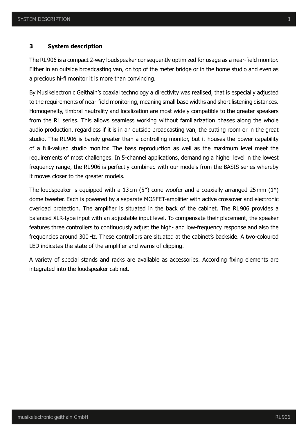#### **3 System description**

The RL906 is a compact 2-way loudspeaker consequently optimized for usage as a near-field monitor. Either in an outside broadcasting van, on top of the meter bridge or in the home studio and even as a precious hi-fi monitor it is more than convincing.

By Musikelectronic Geithain's coaxial technology a directivity was realised, that is especially adjusted to the requirements of near-field monitoring, meaning small base widths and short listening distances. Homogeneity, timbral neutrality and localization are most widely compatible to the greater speakers from the RL series. This allows seamless working without familiarization phases along the whole audio production, regardless if it is in an outside broadcasting van, the cutting room or in the great studio. The RL906 is barely greater than a controlling monitor, but it houses the power capability of a full-valued studio monitor. The bass reproduction as well as the maximum level meet the requirements of most challenges. In 5-channel applications, demanding a higher level in the lowest frequency range, the RL906 is perfectly combined with our models from the BASIS series whereby it moves closer to the greater models.

The loudspeaker is equipped with a 13cm (5″) cone woofer and a coaxially arranged 25mm (1″) dome tweeter. Each is powered by a separate MOSFET-amplifier with active crossover and electronic overload protection. The amplifier is situated in the back of the cabinet. The RL906 provides a balanced XLR-type input with an adjustable input level. To compensate their placement, the speaker features three controllers to continuously adjust the high- and low-frequency response and also the frequencies around 300Hz. These controllers are situated at the cabinet's backside. A two-coloured LED indicates the state of the amplifier and warns of clipping.

A variety of special stands and racks are available as accessories. According fixing elements are integrated into the loudspeaker cabinet.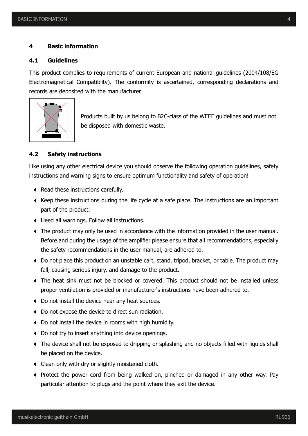#### **4 Basic information**

#### **4.1 Guidelines**

This product complies to requirements of current European and national guidelines (2004/108/EG Electromagnetical Compatiblity). The conformity is ascertained, corresponding declarations and records are deposited with the manufacturer.



Products built by us belong to B2C-class of the WEEE guidelines and must not be disposed with domestic waste.

#### **4.2 Safety instructions**

Like using any other electrical device you should observe the following operation guidelines, safety instructions and warning signs to ensure optimum functionality and safety of operation!

- Read these instructions carefully.
- $\blacktriangleleft$  Keep these instructions during the life cycle at a safe place. The instructions are an important part of the product.
- ; Heed all warnings. Follow all instructions.
- ; The product may only be used in accordance with the information provided in the user manual. Before and during the usage of the amplifier please ensure that all recommendations, especially the safety recommendations in the user manual, are adhered to.
- ; Do not place this product on an unstable cart, stand, tripod, bracket, or table. The product may fall, causing serious injury, and damage to the product.
- ; The heat sink must not be blocked or covered. This product should not be installed unless proper ventilation is provided or manufacturer's instructions have been adhered to.
- $\triangleleft$  Do not install the device near any heat sources.
- ; Do not expose the device to direct sun radiation.
- ; Do not install the device in rooms with high humidity.
- ; Do not try to insert anything into device openings.
- ; The device shall not be exposed to dripping or splashing and no objects filled with liquids shall be placed on the device.
- $\triangleleft$  Clean only with dry or slightly moistened cloth.
- ; Protect the power cord from being walked on, pinched or damaged in any other way. Pay particular attention to plugs and the point where they exit the device.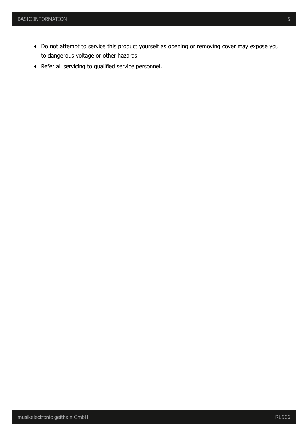- ; Do not attempt to service this product yourself as opening or removing cover may expose you to dangerous voltage or other hazards.
- ; Refer all servicing to qualified service personnel.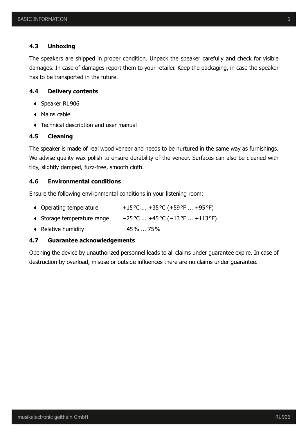#### **4.3 Unboxing**

The speakers are shipped in proper condition. Unpack the speaker carefully and check for visible damages. In case of damages report them to your retailer. Keep the packaging, in case the speaker has to be transported in the future.

#### **4.4 Delivery contents**

- Speaker RL906
- $\triangleleft$  Mains cable
- ; Technical description and user manual

#### **4.5 Cleaning**

The speaker is made of real wood veneer and needs to be nurtured in the same way as furnishings. We advise quality wax polish to ensure durability of the veneer. Surfaces can also be cleaned with tidy, slightly damped, fuzz-free, smooth cloth.

#### **4.6 Environmental conditions**

Ensure the following environmental conditions in your listening room:

- $\blacklozenge$  Operating temperature  $+15\degree$ C ... +35 $\degree$ C (+59 $\degree$ F ... +95 $\degree$ F)
- ; Storage temperature range −25°C ... +45°C (−13°F ... +113°F)
- ; Relative humidity 45% ... 75%

#### **4.7 Guarantee acknowledgements**

Opening the device by unauthorized personnel leads to all claims under guarantee expire. In case of destruction by overload, misuse or outside influences there are no claims under guarantee.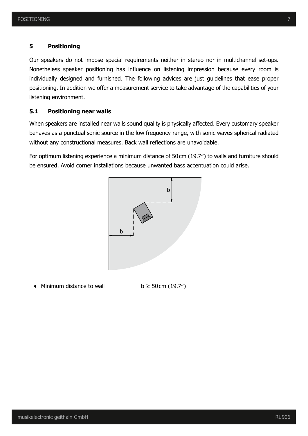#### **5 Positioning**

Our speakers do not impose special requirements neither in stereo nor in multichannel set-ups. Nonetheless speaker positioning has influence on listening impression because every room is individually designed and furnished. The following advices are just guidelines that ease proper positioning. In addition we offer a measurement service to take advantage of the capabilities of your listening environment.

#### **5.1 Positioning near walls**

When speakers are installed near walls sound quality is physically affected. Every customary speaker behaves as a punctual sonic source in the low frequency range, with sonic waves spherical radiated without any constructional measures. Back wall reflections are unavoidable.

For optimum listening experience a minimum distance of 50cm (19.7″) to walls and furniture should be ensured. Avoid corner installations because unwanted bass accentuation could arise.



 $\triangleleft$  Minimum distance to wall b ≥ 50 cm (19.7")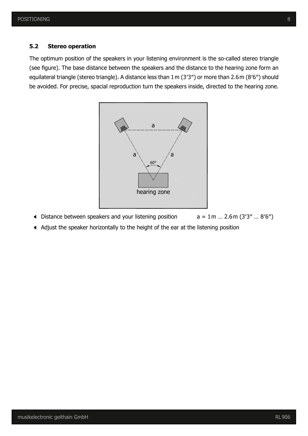#### **5.2 Stereo operation**

The optimum position of the speakers in your listening environment is the so-called stereo triangle (see figure). The base distance between the speakers and the distance to the hearing zone form an equilateral triangle (stereo triangle). A distance less than 1m (3′3″) or more than 2.6m (8′6″) should be avoided. For precise, spacial reproduction turn the speakers inside, directed to the hearing zone.



- Distance between speakers and your listening position  $a = 1m ... 2.6m (3'3'' ... 8'6'')$
- ; Adjust the speaker horizontally to the height of the ear at the listening position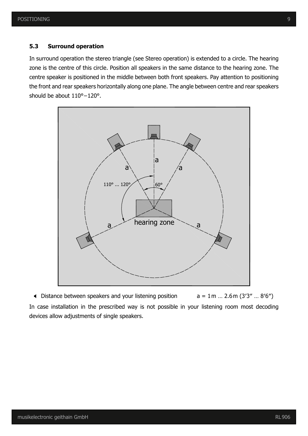#### **5.3 Surround operation**

In surround operation the stereo triangle (see Stereo operation) is extended to a circle. The hearing zone is the centre of this circle. Position all speakers in the same distance to the hearing zone. The centre speaker is positioned in the middle between both front speakers. Pay attention to positioning the front and rear speakers horizontally along one plane. The angle between centre and rear speakers should be about 110°–120°.



 $\blacklozenge$  Distance between speakers and your listening position  $a = 1 \text{ m} ... 2.6 \text{ m} (3'3'' ... 8'6'')$ In case installation in the prescribed way is not possible in your listening room most decoding devices allow adjustments of single speakers.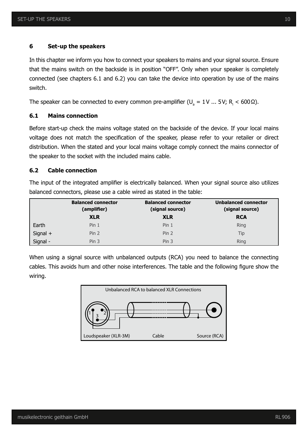#### **6 Set-up the speakers**

In this chapter we inform you how to connect your speakers to mains and your signal source. Ensure that the mains switch on the backside is in position "OFF". Only when your speaker is completely connected (see chapters 6.1 and 6.2) you can take the device into operation by use of the mains switch.

The speaker can be connected to every common pre-amplifier (U<sub>a</sub> = 1V ... 5V; R<sub>i</sub> < 600 Ω).

#### **6.1 Mains connection**

Before start-up check the mains voltage stated on the backside of the device. If your local mains voltage does not match the specification of the speaker, please refer to your retailer or direct distribution. When the stated and your local mains voltage comply connect the mains connector of the speaker to the socket with the included mains cable.

#### **6.2 Cable connection**

The input of the integrated amplifier is electrically balanced. When your signal source also utilizes balanced connectors, please use a cable wired as stated in the table:

|          | <b>Balanced connector</b><br>(amplifier) | <b>Balanced connector</b><br>(signal source) | <b>Unbalanced connector</b><br>(signal source) |
|----------|------------------------------------------|----------------------------------------------|------------------------------------------------|
|          | <b>XLR</b>                               | <b>XLR</b>                                   | <b>RCA</b>                                     |
| Earth    | Pin <sub>1</sub>                         | Pin <sub>1</sub>                             | <b>Ring</b>                                    |
| Signal + | Pin 2                                    | Pin <sub>2</sub>                             | Tip                                            |
| Signal - | Pin <sub>3</sub>                         | Pin <sub>3</sub>                             | <b>Ring</b>                                    |

When using a signal source with unbalanced outputs (RCA) you need to balance the connecting cables. This avoids hum and other noise interferences. The table and the following figure show the wiring.

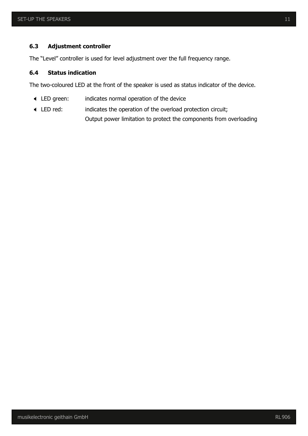#### **6.3 Adjustment controller**

The "Level" controller is used for level adjustment over the full frequency range.

#### **6.4 Status indication**

The two-coloured LED at the front of the speaker is used as status indicator of the device.

- ; LED green: indicates normal operation of the device
- ; LED red: indicates the operation of the overload protection circuit; Output power limitation to protect the components from overloading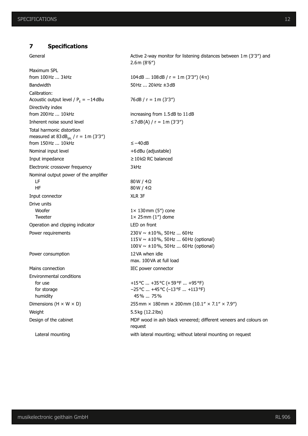#### **7 Specifications**

General General Active 2-way monitor for listening distances between 1m (3'3") and

Maximum SPL from 100Hz ... 3kHz  $104dB$  ... 108dB / r = 1m (3'3") (4 $\pi$ ) Bandwidth 50Hz ... 20kHz ±3dB Calibration: Acoustic output level /  $P_E = -14$  dBu Directivity index from 200 Hz ... 10 kHz increasing from 1.5dB to 11 dB Inherent noise sound level  $\leq$ 7dB(A) / r = 1m (3'3") Total harmonic distortion measured at  $83dB_{\rm spl}$  / r = 1m (3'3") from 150Hz ... 10kHz ≤−40dB Nominal input level  $+6$ dBu (adjustable) Input impedance ≥10kΩ RC balanced Electronic crossover frequency 3kHz Nominal output power of the amplifier LF HF Input connector XLR 3F Drive units Woofer Tweeter Operation and clipping indicator LED on front Power requirements 230V  $\sim \pm 10\%$ , 50Hz ... 60Hz Power consumption 12VA when idle Mains connection **IEC** power connector Environmental conditions for use for storage humidity

Weight 5.5kg (12.2lbs)

Lateral mounting with lateral mounting; without lateral mounting on request

 $76dB / r = 1m (3'3'')$ 80W / 4Ω 80W / 4Ω 1× 130mm (5″) cone  $1 \times 25$  mm  $(1'')$  dome 115V ~ ±10%, 50Hz ... 60Hz (optional) 100V ~ ±10%, 50Hz ... 60Hz (optional) max. 100VA at full load +15°C ... +35°C (+59°F ... +95°F) −25°C ... +45°C (−13°F ... +113°F) 45% ... 75% Dimensions (H  $\times$  W  $\times$  D) 255mm  $\times$  180mm  $\times$  200mm (10.1"  $\times$  7.1"  $\times$  7.9") Design of the cabinet MDF wood in ash black veneered; different veneers and colours on request

2.6m (8′6″)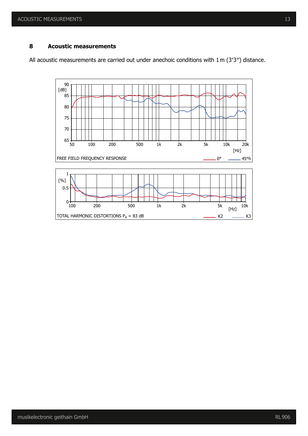#### **8 Acoustic measurements**

All acoustic measurements are carried out under anechoic conditions with 1m (3′3″) distance.